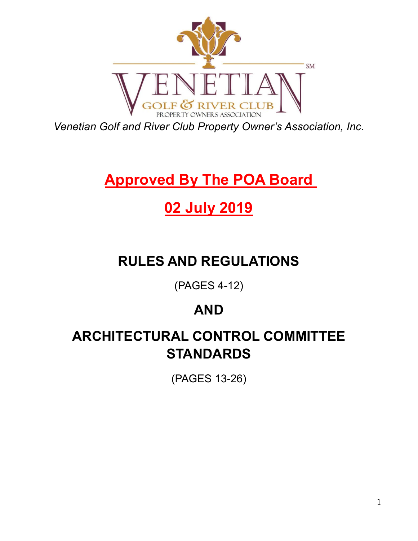

*Venetian Golf and River Club Property Owner's Association, Inc.*

# **Approved By The POA Board**

# **02 July 2019**

# **RULES AND REGULATIONS**

(PAGES 4-12)

# **AND**

# **ARCHITECTURAL CONTROL COMMITTEE STANDARDS**

(PAGES 13-26)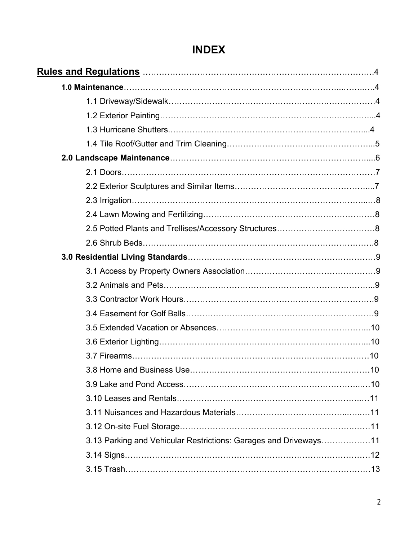# **INDEX**

|                                                                  | .10 |
|------------------------------------------------------------------|-----|
|                                                                  |     |
|                                                                  |     |
|                                                                  |     |
|                                                                  |     |
| 3.13 Parking and Vehicular Restrictions: Garages and Driveways11 |     |
|                                                                  |     |
|                                                                  |     |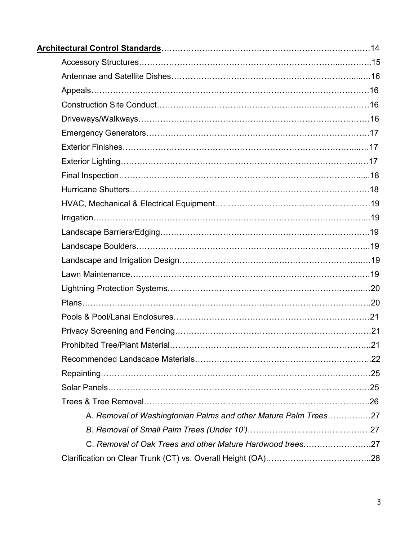| A. Removal of Washingtonian Palms and other Mature Palm Trees27 |  |
|-----------------------------------------------------------------|--|
|                                                                 |  |
| C. Removal of Oak Trees and other Mature Hardwood trees27       |  |
|                                                                 |  |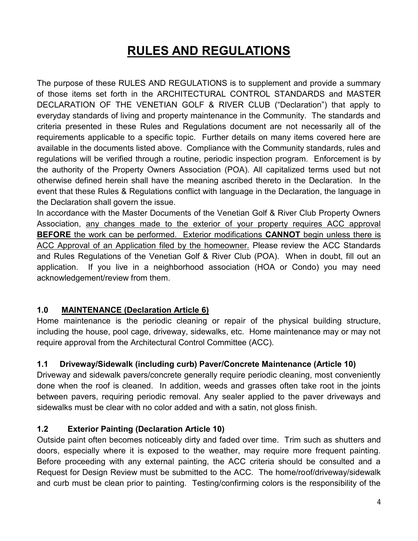# **RULES AND REGULATIONS**

The purpose of these RULES AND REGULATIONS is to supplement and provide a summary of those items set forth in the ARCHITECTURAL CONTROL STANDARDS and MASTER DECLARATION OF THE VENETIAN GOLF & RIVER CLUB ("Declaration") that apply to everyday standards of living and property maintenance in the Community. The standards and criteria presented in these Rules and Regulations document are not necessarily all of the requirements applicable to a specific topic. Further details on many items covered here are available in the documents listed above. Compliance with the Community standards, rules and regulations will be verified through a routine, periodic inspection program. Enforcement is by the authority of the Property Owners Association (POA). All capitalized terms used but not otherwise defined herein shall have the meaning ascribed thereto in the Declaration. In the event that these Rules & Regulations conflict with language in the Declaration, the language in the Declaration shall govern the issue.

In accordance with the Master Documents of the Venetian Golf & River Club Property Owners Association, any changes made to the exterior of your property requires ACC approval **BEFORE** the work can be performed. Exterior modifications **CANNOT** begin unless there is ACC Approval of an Application filed by the homeowner. Please review the ACC Standards and Rules Regulations of the Venetian Golf & River Club (POA). When in doubt, fill out an application. If you live in a neighborhood association (HOA or Condo) you may need acknowledgement/review from them.

### **1.0 MAINTENANCE (Declaration Article 6)**

Home maintenance is the periodic cleaning or repair of the physical building structure, including the house, pool cage, driveway, sidewalks, etc. Home maintenance may or may not require approval from the Architectural Control Committee (ACC).

### **1.1 Driveway/Sidewalk (including curb) Paver/Concrete Maintenance (Article 10)**

Driveway and sidewalk pavers/concrete generally require periodic cleaning, most conveniently done when the roof is cleaned. In addition, weeds and grasses often take root in the joints between pavers, requiring periodic removal. Any sealer applied to the paver driveways and sidewalks must be clear with no color added and with a satin, not gloss finish.

### **1.2 Exterior Painting (Declaration Article 10)**

Outside paint often becomes noticeably dirty and faded over time. Trim such as shutters and doors, especially where it is exposed to the weather, may require more frequent painting. Before proceeding with any external painting, the ACC criteria should be consulted and a Request for Design Review must be submitted to the ACC. The home/roof/driveway/sidewalk and curb must be clean prior to painting. Testing/confirming colors is the responsibility of the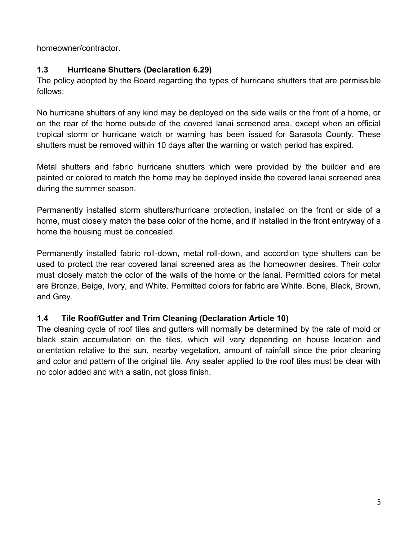homeowner/contractor.

### **1.3 Hurricane Shutters (Declaration 6.29)**

The policy adopted by the Board regarding the types of hurricane shutters that are permissible follows:

No hurricane shutters of any kind may be deployed on the side walls or the front of a home, or on the rear of the home outside of the covered lanai screened area, except when an official tropical storm or hurricane watch or warning has been issued for Sarasota County. These shutters must be removed within 10 days after the warning or watch period has expired.

Metal shutters and fabric hurricane shutters which were provided by the builder and are painted or colored to match the home may be deployed inside the covered lanai screened area during the summer season.

Permanently installed storm shutters/hurricane protection, installed on the front or side of a home, must closely match the base color of the home, and if installed in the front entryway of a home the housing must be concealed.

Permanently installed fabric roll-down, metal roll-down, and accordion type shutters can be used to protect the rear covered lanai screened area as the homeowner desires. Their color must closely match the color of the walls of the home or the lanai. Permitted colors for metal are Bronze, Beige, Ivory, and White. Permitted colors for fabric are White, Bone, Black, Brown, and Grey.

### **1.4 Tile Roof/Gutter and Trim Cleaning (Declaration Article 10)**

The cleaning cycle of roof tiles and gutters will normally be determined by the rate of mold or black stain accumulation on the tiles, which will vary depending on house location and orientation relative to the sun, nearby vegetation, amount of rainfall since the prior cleaning and color and pattern of the original tile. Any sealer applied to the roof tiles must be clear with no color added and with a satin, not gloss finish.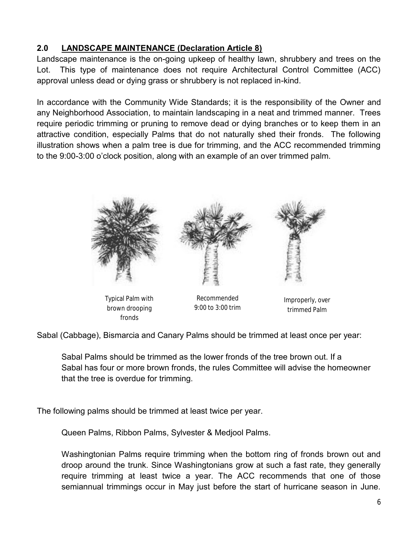# **2.0 LANDSCAPE MAINTENANCE (Declaration Article 8)**

Landscape maintenance is the on-going upkeep of healthy lawn, shrubbery and trees on the Lot. This type of maintenance does not require Architectural Control Committee (ACC) approval unless dead or dying grass or shrubbery is not replaced in-kind.

In accordance with the Community Wide Standards; it is the responsibility of the Owner and any Neighborhood Association, to maintain landscaping in a neat and trimmed manner. Trees require periodic trimming or pruning to remove dead or dying branches or to keep them in an attractive condition, especially Palms that do not naturally shed their fronds. The following illustration shows when a palm tree is due for trimming, and the ACC recommended trimming to the 9:00-3:00 o'clock position, along with an example of an over trimmed palm.



Typical Palm with brown drooping fronds

Recommended 9:00 to 3:00 trim

Improperly, over trimmed Palm

Sabal (Cabbage), Bismarcia and Canary Palms should be trimmed at least once per year:

Sabal Palms should be trimmed as the lower fronds of the tree brown out. If a Sabal has four or more brown fronds, the rules Committee will advise the homeowner that the tree is overdue for trimming.

The following palms should be trimmed at least twice per year.

Queen Palms, Ribbon Palms, Sylvester & Medjool Palms.

Washingtonian Palms require trimming when the bottom ring of fronds brown out and droop around the trunk. Since Washingtonians grow at such a fast rate, they generally require trimming at least twice a year. The ACC recommends that one of those semiannual trimmings occur in May just before the start of hurricane season in June.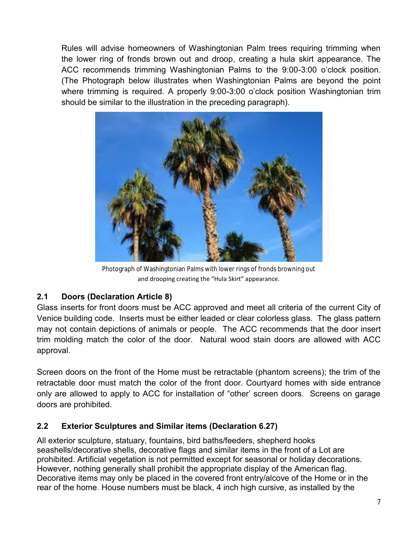Rules will advise homeowners of Washingtonian Palm trees requiring trimming when the lower ring of fronds brown out and droop, creating a hula skirt appearance. The ACC recommends trimming Washingtonian Palms to the 9:00-3:00 o'clock position. (The Photograph below illustrates when Washingtonian Palms are beyond the point where trimming is required. A properly 9:00-3:00 o'clock position Washingtonian trim should be similar to the illustration in the preceding paragraph).



Photograph of Washingtonian Palms with lower rings of fronds browning out and drooping creating the "Hula Skirt" appearance.

# **2.1 Doors (Declaration Article 8)**

Glass inserts for front doors must be ACC approved and meet all criteria of the current City of Venice building code. Inserts must be either leaded or clear colorless glass. The glass pattern may not contain depictions of animals or people. The ACC recommends that the door insert trim molding match the color of the door. Natural wood stain doors are allowed with ACC approval.

Screen doors on the front of the Home must be retractable (phantom screens); the trim of the retractable door must match the color of the front door. Courtyard homes with side entrance only are allowed to apply to ACC for installation of "other' screen doors. Screens on garage doors are prohibited.

### **2.2 Exterior Sculptures and Similar items (Declaration 6.27)**

All exterior sculpture, statuary, fountains, bird baths/feeders, shepherd hooks seashells/decorative shells, decorative flags and similar items in the front of a Lot are prohibited. Artificial vegetation is not permitted except for seasonal or holiday decorations. However, nothing generally shall prohibit the appropriate display of the American flag. Decorative items may only be placed in the covered front entry/alcove of the Home or in the rear of the home. House numbers must be black, 4 inch high cursive, as installed by the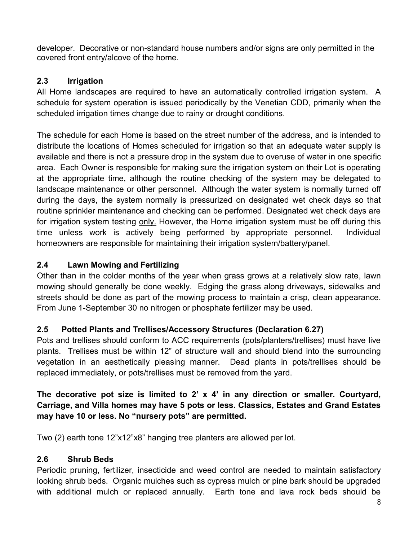developer. Decorative or non-standard house numbers and/or signs are only permitted in the covered front entry/alcove of the home.

### **2.3 Irrigation**

All Home landscapes are required to have an automatically controlled irrigation system. A schedule for system operation is issued periodically by the Venetian CDD, primarily when the scheduled irrigation times change due to rainy or drought conditions.

The schedule for each Home is based on the street number of the address, and is intended to distribute the locations of Homes scheduled for irrigation so that an adequate water supply is available and there is not a pressure drop in the system due to overuse of water in one specific area. Each Owner is responsible for making sure the irrigation system on their Lot is operating at the appropriate time, although the routine checking of the system may be delegated to landscape maintenance or other personnel. Although the water system is normally turned off during the days, the system normally is pressurized on designated wet check days so that routine sprinkler maintenance and checking can be performed. Designated wet check days are for irrigation system testing only. However, the Home irrigation system must be off during this time unless work is actively being performed by appropriate personnel. Individual homeowners are responsible for maintaining their irrigation system/battery/panel.

# **2.4 Lawn Mowing and Fertilizing**

Other than in the colder months of the year when grass grows at a relatively slow rate, lawn mowing should generally be done weekly. Edging the grass along driveways, sidewalks and streets should be done as part of the mowing process to maintain a crisp, clean appearance. From June 1-September 30 no nitrogen or phosphate fertilizer may be used.

### **2.5 Potted Plants and Trellises/Accessory Structures (Declaration 6.27)**

Pots and trellises should conform to ACC requirements (pots/planters/trellises) must have live plants. Trellises must be within 12" of structure wall and should blend into the surrounding vegetation in an aesthetically pleasing manner. Dead plants in pots/trellises should be replaced immediately, or pots/trellises must be removed from the yard.

# **The decorative pot size is limited to 2' x 4' in any direction or smaller. Courtyard, Carriage, and Villa homes may have 5 pots or less. Classics, Estates and Grand Estates may have 10 or less. No "nursery pots" are permitted.**

Two (2) earth tone 12"x12"x8" hanging tree planters are allowed per lot.

### **2.6 Shrub Beds**

Periodic pruning, fertilizer, insecticide and weed control are needed to maintain satisfactory looking shrub beds. Organic mulches such as cypress mulch or pine bark should be upgraded with additional mulch or replaced annually. Earth tone and lava rock beds should be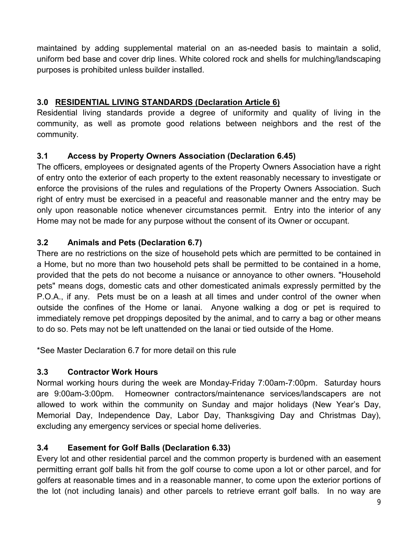maintained by adding supplemental material on an as-needed basis to maintain a solid, uniform bed base and cover drip lines. White colored rock and shells for mulching/landscaping purposes is prohibited unless builder installed.

# **3.0 RESIDENTIAL LIVING STANDARDS (Declaration Article 6)**

Residential living standards provide a degree of uniformity and quality of living in the community, as well as promote good relations between neighbors and the rest of the community.

# **3.1 Access by Property Owners Association (Declaration 6.45)**

The officers, employees or designated agents of the Property Owners Association have a right of entry onto the exterior of each property to the extent reasonably necessary to investigate or enforce the provisions of the rules and regulations of the Property Owners Association. Such right of entry must be exercised in a peaceful and reasonable manner and the entry may be only upon reasonable notice whenever circumstances permit. Entry into the interior of any Home may not be made for any purpose without the consent of its Owner or occupant.

# **3.2 Animals and Pets (Declaration 6.7)**

There are no restrictions on the size of household pets which are permitted to be contained in a Home, but no more than two household pets shall be permitted to be contained in a home, provided that the pets do not become a nuisance or annoyance to other owners. "Household pets" means dogs, domestic cats and other domesticated animals expressly permitted by the P.O.A., if any. Pets must be on a leash at all times and under control of the owner when outside the confines of the Home or lanai. Anyone walking a dog or pet is required to immediately remove pet droppings deposited by the animal, and to carry a bag or other means to do so. Pets may not be left unattended on the lanai or tied outside of the Home.

\*See Master Declaration 6.7 for more detail on this rule

### **3.3 Contractor Work Hours**

Normal working hours during the week are Monday-Friday 7:00am-7:00pm. Saturday hours are 9:00am-3:00pm. Homeowner contractors/maintenance services/landscapers are not allowed to work within the community on Sunday and major holidays (New Year's Day, Memorial Day, Independence Day, Labor Day, Thanksgiving Day and Christmas Day), excluding any emergency services or special home deliveries.

# **3.4 Easement for Golf Balls (Declaration 6.33)**

Every lot and other residential parcel and the common property is burdened with an easement permitting errant golf balls hit from the golf course to come upon a lot or other parcel, and for golfers at reasonable times and in a reasonable manner, to come upon the exterior portions of the lot (not including lanais) and other parcels to retrieve errant golf balls. In no way are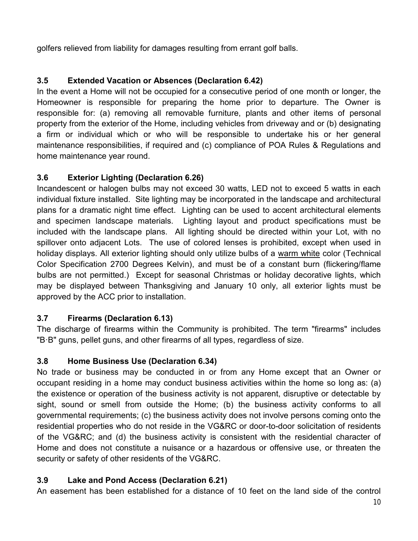golfers relieved from liability for damages resulting from errant golf balls.

# **3.5 Extended Vacation or Absences (Declaration 6.42)**

In the event a Home will not be occupied for a consecutive period of one month or longer, the Homeowner is responsible for preparing the home prior to departure. The Owner is responsible for: (a) removing all removable furniture, plants and other items of personal property from the exterior of the Home, including vehicles from driveway and or (b) designating a firm or individual which or who will be responsible to undertake his or her general maintenance responsibilities, if required and (c) compliance of POA Rules & Regulations and home maintenance year round.

### **3.6 Exterior Lighting (Declaration 6.26)**

Incandescent or halogen bulbs may not exceed 30 watts, LED not to exceed 5 watts in each individual fixture installed.Site lighting may be incorporated in the landscape and architectural plans for a dramatic night time effect. Lighting can be used to accent architectural elements and specimen landscape materials. Lighting layout and product specifications must be included with the landscape plans. All lighting should be directed within your Lot, with no spillover onto adjacent Lots. The use of colored lenses is prohibited, except when used in holiday displays. All exterior lighting should only utilize bulbs of a warm white color (Technical Color Specification 2700 Degrees Kelvin), and must be of a constant burn (flickering/flame bulbs are not permitted.) Except for seasonal Christmas or holiday decorative lights, which may be displayed between Thanksgiving and January 10 only, all exterior lights must be approved by the ACC prior to installation.

### **3.7 Firearms (Declaration 6.13)**

The discharge of firearms within the Community is prohibited. The term "firearms" includes "B·B" guns, pellet guns, and other firearms of all types, regardless of size.

### **3.8 Home Business Use (Declaration 6.34)**

No trade or business may be conducted in or from any Home except that an Owner or occupant residing in a home may conduct business activities within the home so long as: (a) the existence or operation of the business activity is not apparent, disruptive or detectable by sight, sound or smell from outside the Home; (b) the business activity conforms to all governmental requirements; (c) the business activity does not involve persons coming onto the residential properties who do not reside in the VG&RC or door-to-door solicitation of residents of the VG&RC; and (d) the business activity is consistent with the residential character of Home and does not constitute a nuisance or a hazardous or offensive use, or threaten the security or safety of other residents of the VG&RC.

### **3.9 Lake and Pond Access (Declaration 6.21)**

An easement has been established for a distance of 10 feet on the land side of the control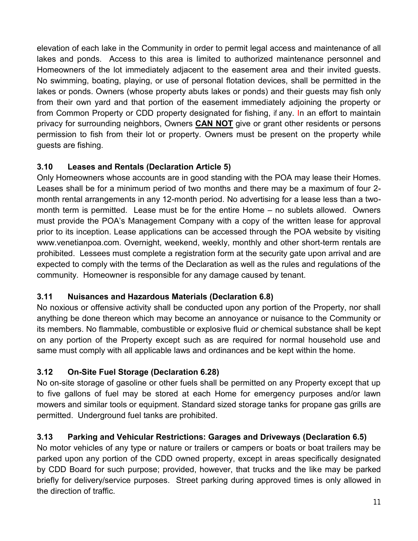elevation of each lake in the Community in order to permit legal access and maintenance of all lakes and ponds. Access to this area is limited to authorized maintenance personnel and Homeowners of the lot immediately adjacent to the easement area and their invited guests. No swimming, boating, playing, or use of personal flotation devices, shall be permitted in the lakes or ponds. Owners (whose property abuts lakes or ponds) and their guests may fish only from their own yard and that portion of the easement immediately adjoining the property or from Common Property or CDD property designated for fishing, if any. In an effort to maintain privacy for surrounding neighbors, Owners **CAN NOT** give or grant other residents or persons permission to fish from their lot or property. Owners must be present on the property while guests are fishing.

# **3.10 Leases and Rentals (Declaration Article 5)**

Only Homeowners whose accounts are in good standing with the POA may lease their Homes. Leases shall be for a minimum period of two months and there may be a maximum of four 2 month rental arrangements in any 12-month period. No advertising for a lease less than a twomonth term is permitted. Lease must be for the entire Home – no sublets allowed. Owners must provide the POA's Management Company with a copy of the written lease for approval prior to its inception. Lease applications can be accessed through the POA website by visiting www.venetianpoa.com. Overnight, weekend, weekly, monthly and other short-term rentals are prohibited. Lessees must complete a registration form at the security gate upon arrival and are expected to comply with the terms of the Declaration as well as the rules and regulations of the community. Homeowner is responsible for any damage caused by tenant.

# **3.11 Nuisances and Hazardous Materials (Declaration 6.8)**

No noxious or offensive activity shall be conducted upon any portion of the Property, nor shall anything be done thereon which may become an annoyance or nuisance to the Community or its members. No flammable, combustible or explosive fluid *or* chemical substance shall be kept on any portion of the Property except such as are required for normal household use and same must comply with all applicable laws and ordinances and be kept within the home.

# **3.12 On-Site Fuel Storage (Declaration 6.28)**

No on-site storage of gasoline or other fuels shall be permitted on any Property except that up to five gallons of fuel may be stored at each Home for emergency purposes and/or lawn mowers and similar tools or equipment. Standard sized storage tanks for propane gas grills are permitted. Underground fuel tanks are prohibited.

# **3.13 Parking and Vehicular Restrictions: Garages and Driveways (Declaration 6.5)**

No motor vehicles of any type or nature or trailers or campers or boats or boat trailers may be parked upon any portion of the CDD owned property, except in areas specifically designated by CDD Board for such purpose; provided, however, that trucks and the like may be parked briefly for delivery/service purposes. Street parking during approved times is only allowed in the direction of traffic.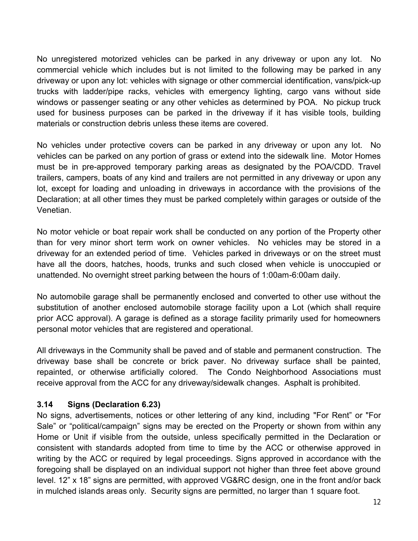No unregistered motorized vehicles can be parked in any driveway or upon any lot. No commercial vehicle which includes but is not limited to the following may be parked in any driveway or upon any lot: vehicles with signage or other commercial identification, vans/pick-up trucks with ladder/pipe racks, vehicles with emergency lighting, cargo vans without side windows or passenger seating or any other vehicles as determined by POA. No pickup truck used for business purposes can be parked in the driveway if it has visible tools, building materials or construction debris unless these items are covered.

No vehicles under protective covers can be parked in any driveway or upon any lot. No vehicles can be parked on any portion of grass or extend into the sidewalk line. Motor Homes must be in pre-approved temporary parking areas as designated by the POA/CDD. Travel trailers, campers, boats of any kind and trailers are not permitted in any driveway or upon any lot, except for loading and unloading in driveways in accordance with the provisions of the Declaration; at all other times they must be parked completely within garages or outside of the Venetian.

No motor vehicle or boat repair work shall be conducted on any portion of the Property other than for very minor short term work on owner vehicles. No vehicles may be stored in a driveway for an extended period of time. Vehicles parked in driveways or on the street must have all the doors, hatches, hoods, trunks and such closed when vehicle is unoccupied or unattended. No overnight street parking between the hours of 1:00am-6:00am daily.

No automobile garage shall be permanently enclosed and converted to other use without the substitution of another enclosed automobile storage facility upon a Lot (which shall require prior ACC approval). A garage is defined as a storage facility primarily used for homeowners personal motor vehicles that are registered and operational.

All driveways in the Community shall be paved and of stable and permanent construction. The driveway base shall be concrete or brick paver. No driveway surface shall be painted, repainted, or otherwise artificially colored. The Condo Neighborhood Associations must receive approval from the ACC for any driveway/sidewalk changes. Asphalt is prohibited.

### **3.14 Signs (Declaration 6.23)**

No signs, advertisements, notices or other lettering of any kind, including "For Rent" or "For Sale" or "political/campaign" signs may be erected on the Property or shown from within any Home or Unit if visible from the outside, unless specifically permitted in the Declaration or consistent with standards adopted from time to time by the ACC or otherwise approved in writing by the ACC or required by legal proceedings. Signs approved in accordance with the foregoing shall be displayed on an individual support not higher than three feet above ground level. 12" x 18" signs are permitted, with approved VG&RC design, one in the front and/or back in mulched islands areas only. Security signs are permitted, no larger than 1 square foot.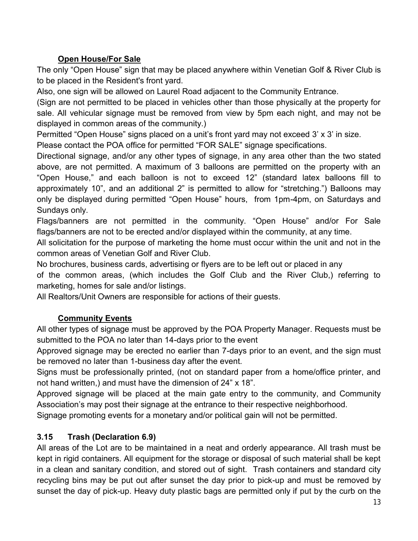# **Open House/For Sale**

The only "Open House" sign that may be placed anywhere within Venetian Golf & River Club is to be placed in the Resident's front yard.

Also, one sign will be allowed on Laurel Road adjacent to the Community Entrance.

(Sign are not permitted to be placed in vehicles other than those physically at the property for sale. All vehicular signage must be removed from view by 5pm each night, and may not be displayed in common areas of the community.)

Permitted "Open House" signs placed on a unit's front yard may not exceed 3' x 3' in size.

Please contact the POA office for permitted "FOR SALE" signage specifications.

Directional signage, and/or any other types of signage, in any area other than the two stated above, are not permitted. A maximum of 3 balloons are permitted on the property with an "Open House," and each balloon is not to exceed 12" (standard latex balloons fill to approximately 10", and an additional 2" is permitted to allow for "stretching.") Balloons may only be displayed during permitted "Open House" hours, from 1pm-4pm, on Saturdays and Sundays only.

Flags/banners are not permitted in the community. "Open House" and/or For Sale flags/banners are not to be erected and/or displayed within the community, at any time.

All solicitation for the purpose of marketing the home must occur within the unit and not in the common areas of Venetian Golf and River Club.

No brochures, business cards, advertising or flyers are to be left out or placed in any

of the common areas, (which includes the Golf Club and the River Club,) referring to marketing, homes for sale and/or listings.

All Realtors/Unit Owners are responsible for actions of their guests.

### **Community Events**

All other types of signage must be approved by the POA Property Manager. Requests must be submitted to the POA no later than 14-days prior to the event

Approved signage may be erected no earlier than 7-days prior to an event, and the sign must be removed no later than 1-business day after the event.

Signs must be professionally printed, (not on standard paper from a home/office printer, and not hand written,) and must have the dimension of 24" x 18".

Approved signage will be placed at the main gate entry to the community, and Community Association's may post their signage at the entrance to their respective neighborhood.

Signage promoting events for a monetary and/or political gain will not be permitted.

### **3.15 Trash (Declaration 6.9)**

All areas of the Lot are to be maintained in a neat and orderly appearance. All trash must be kept in rigid containers. All equipment for the storage or disposal of such material shall be kept in a clean and sanitary condition, and stored out of sight. Trash containers and standard city recycling bins may be put out after sunset the day prior to pick-up and must be removed by sunset the day of pick-up. Heavy duty plastic bags are permitted only if put by the curb on the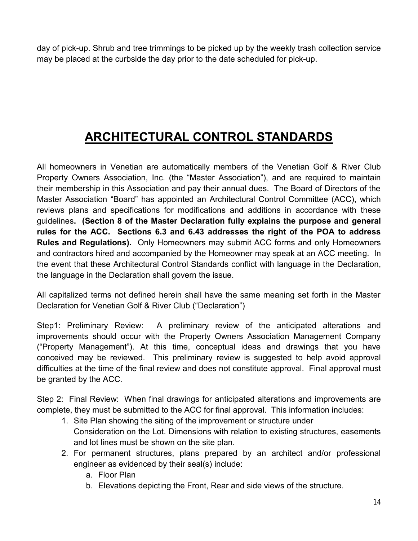day of pick-up. Shrub and tree trimmings to be picked up by the weekly trash collection service may be placed at the curbside the day prior to the date scheduled for pick-up.

# **ARCHITECTURAL CONTROL STANDARDS**

All homeowners in Venetian are automatically members of the Venetian Golf & River Club Property Owners Association, Inc. (the "Master Association"), and are required to maintain their membership in this Association and pay their annual dues. The Board of Directors of the Master Association "Board" has appointed an Architectural Control Committee (ACC), which reviews plans and specifications for modifications and additions in accordance with these guidelines**. (Section 8 of the Master Declaration fully explains the purpose and general rules for the ACC. Sections 6.3 and 6.43 addresses the right of the POA to address Rules and Regulations).** Only Homeowners may submit ACC forms and only Homeowners and contractors hired and accompanied by the Homeowner may speak at an ACC meeting. In the event that these Architectural Control Standards conflict with language in the Declaration, the language in the Declaration shall govern the issue.

All capitalized terms not defined herein shall have the same meaning set forth in the Master Declaration for Venetian Golf & River Club ("Declaration")

Step1: Preliminary Review: A preliminary review of the anticipated alterations and improvements should occur with the Property Owners Association Management Company ("Property Management"). At this time, conceptual ideas and drawings that you have conceived may be reviewed. This preliminary review is suggested to help avoid approval difficulties at the time of the final review and does not constitute approval. Final approval must be granted by the ACC.

Step 2: Final Review: When final drawings for anticipated alterations and improvements are complete, they must be submitted to the ACC for final approval. This information includes:

- 1. Site Plan showing the siting of the improvement or structure under Consideration on the Lot. Dimensions with relation to existing structures, easements and lot lines must be shown on the site plan.
- 2. For permanent structures, plans prepared by an architect and/or professional engineer as evidenced by their seal(s) include:
	- a. Floor Plan
	- b. Elevations depicting the Front, Rear and side views of the structure.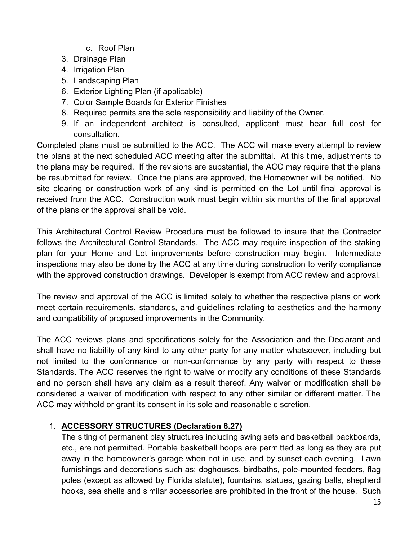- c. Roof Plan
- 3. Drainage Plan
- 4. Irrigation Plan
- 5. Landscaping Plan
- 6. Exterior Lighting Plan (if applicable)
- 7. Color Sample Boards for Exterior Finishes
- 8. Required permits are the sole responsibility and liability of the Owner.
- 9. If an independent architect is consulted, applicant must bear full cost for consultation.

Completed plans must be submitted to the ACC. The ACC will make every attempt to review the plans at the next scheduled ACC meeting after the submittal. At this time, adjustments to the plans may be required. If the revisions are substantial, the ACC may require that the plans be resubmitted for review. Once the plans are approved, the Homeowner will be notified. No site clearing or construction work of any kind is permitted on the Lot until final approval is received from the ACC. Construction work must begin within six months of the final approval of the plans or the approval shall be void.

This Architectural Control Review Procedure must be followed to insure that the Contractor follows the Architectural Control Standards. The ACC may require inspection of the staking plan for your Home and Lot improvements before construction may begin. Intermediate inspections may also be done by the ACC at any time during construction to verify compliance with the approved construction drawings. Developer is exempt from ACC review and approval.

The review and approval of the ACC is limited solely to whether the respective plans or work meet certain requirements, standards, and guidelines relating to aesthetics and the harmony and compatibility of proposed improvements in the Community.

The ACC reviews plans and specifications solely for the Association and the Declarant and shall have no liability of any kind to any other party for any matter whatsoever, including but not limited to the conformance or non-conformance by any party with respect to these Standards. The ACC reserves the right to waive or modify any conditions of these Standards and no person shall have any claim as a result thereof. Any waiver or modification shall be considered a waiver of modification with respect to any other similar or different matter. The ACC may withhold or grant its consent in its sole and reasonable discretion.

### 1. **ACCESSORY STRUCTURES (Declaration 6.27)**

The siting of permanent play structures including swing sets and basketball backboards, etc., are not permitted. Portable basketball hoops are permitted as long as they are put away in the homeowner's garage when not in use, and by sunset each evening. Lawn furnishings and decorations such as; doghouses, birdbaths, pole-mounted feeders, flag poles (except as allowed by Florida statute), fountains, statues, gazing balls, shepherd hooks, sea shells and similar accessories are prohibited in the front of the house. Such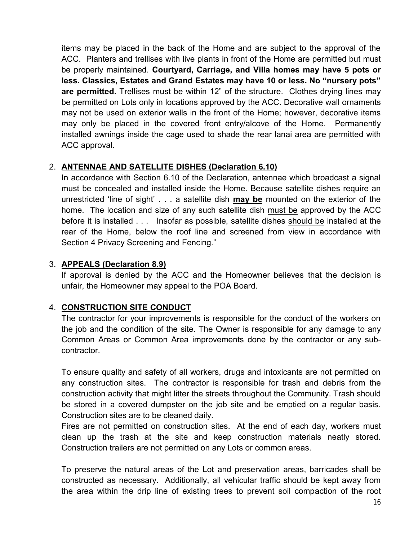items may be placed in the back of the Home and are subject to the approval of the ACC. Planters and trellises with live plants in front of the Home are permitted but must be properly maintained. **Courtyard, Carriage, and Villa homes may have 5 pots or less. Classics, Estates and Grand Estates may have 10 or less. No "nursery pots" are permitted.** Trellises must be within 12" of the structure. Clothes drying lines may be permitted on Lots only in locations approved by the ACC. Decorative wall ornaments may not be used on exterior walls in the front of the Home; however, decorative items may only be placed in the covered front entry/alcove of the Home. Permanently installed awnings inside the cage used to shade the rear lanai area are permitted with ACC approval.

### 2. **ANTENNAE AND SATELLITE DISHES (Declaration 6.10)**

In accordance with Section 6.10 of the Declaration, antennae which broadcast a signal must be concealed and installed inside the Home. Because satellite dishes require an unrestricted 'line of sight' . . . a satellite dish **may be** mounted on the exterior of the home. The location and size of any such satellite dish must be approved by the ACC before it is installed . . . Insofar as possible, satellite dishes should be installed at the rear of the Home, below the roof line and screened from view in accordance with Section 4 Privacy Screening and Fencing."

# 3. **APPEALS (Declaration 8.9)**

If approval is denied by the ACC and the Homeowner believes that the decision is unfair, the Homeowner may appeal to the POA Board.

# 4. **CONSTRUCTION SITE CONDUCT**

The contractor for your improvements is responsible for the conduct of the workers on the job and the condition of the site. The Owner is responsible for any damage to any Common Areas or Common Area improvements done by the contractor or any subcontractor.

To ensure quality and safety of all workers, drugs and intoxicants are not permitted on any construction sites. The contractor is responsible for trash and debris from the construction activity that might litter the streets throughout the Community. Trash should be stored in a covered dumpster on the job site and be emptied on a regular basis. Construction sites are to be cleaned daily.

Fires are not permitted on construction sites. At the end of each day, workers must clean up the trash at the site and keep construction materials neatly stored. Construction trailers are not permitted on any Lots or common areas.

To preserve the natural areas of the Lot and preservation areas, barricades shall be constructed as necessary. Additionally, all vehicular traffic should be kept away from the area within the drip line of existing trees to prevent soil compaction of the root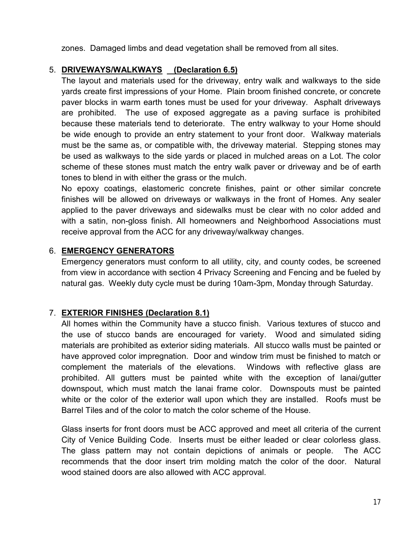zones. Damaged limbs and dead vegetation shall be removed from all sites.

### 5. **DRIVEWAYS/WALKWAYS (Declaration 6.5)**

The layout and materials used for the driveway, entry walk and walkways to the side yards create first impressions of your Home. Plain broom finished concrete, or concrete paver blocks in warm earth tones must be used for your driveway. Asphalt driveways are prohibited. The use of exposed aggregate as a paving surface is prohibited because these materials tend to deteriorate. The entry walkway to your Home should be wide enough to provide an entry statement to your front door. Walkway materials must be the same as, or compatible with, the driveway material. Stepping stones may be used as walkways to the side yards or placed in mulched areas on a Lot. The color scheme of these stones must match the entry walk paver or driveway and be of earth tones to blend in with either the grass or the mulch.

No epoxy coatings, elastomeric concrete finishes, paint or other similar concrete finishes will be allowed on driveways or walkways in the front of Homes. Any sealer applied to the paver driveways and sidewalks must be clear with no color added and with a satin, non-gloss finish. All homeowners and Neighborhood Associations must receive approval from the ACC for any driveway/walkway changes.

### 6. **EMERGENCY GENERATORS**

Emergency generators must conform to all utility, city, and county codes, be screened from view in accordance with section 4 Privacy Screening and Fencing and be fueled by natural gas. Weekly duty cycle must be during 10am-3pm, Monday through Saturday.

### 7. **EXTERIOR FINISHES (Declaration 8.1)**

All homes within the Community have a stucco finish. Various textures of stucco and the use of stucco bands are encouraged for variety. Wood and simulated siding materials are prohibited as exterior siding materials. All stucco walls must be painted or have approved color impregnation. Door and window trim must be finished to match or complement the materials of the elevations. Windows with reflective glass are prohibited. All gutters must be painted white with the exception of lanai/gutter downspout, which must match the lanai frame color. Downspouts must be painted white or the color of the exterior wall upon which they are installed. Roofs must be Barrel Tiles and of the color to match the color scheme of the House.

Glass inserts for front doors must be ACC approved and meet all criteria of the current City of Venice Building Code. Inserts must be either leaded or clear colorless glass. The glass pattern may not contain depictions of animals or people. The ACC recommends that the door insert trim molding match the color of the door. Natural wood stained doors are also allowed with ACC approval.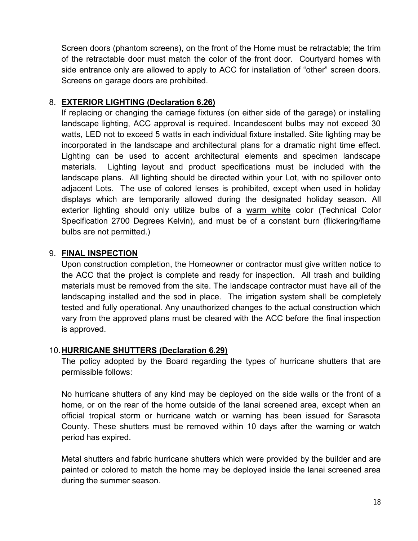Screen doors (phantom screens), on the front of the Home must be retractable; the trim of the retractable door must match the color of the front door. Courtyard homes with side entrance only are allowed to apply to ACC for installation of "other" screen doors. Screens on garage doors are prohibited.

### 8. **EXTERIOR LIGHTING (Declaration 6.26)**

If replacing or changing the carriage fixtures (on either side of the garage) or installing landscape lighting, ACC approval is required. Incandescent bulbs may not exceed 30 watts, LED not to exceed 5 watts in each individual fixture installed. Site lighting may be incorporated in the landscape and architectural plans for a dramatic night time effect. Lighting can be used to accent architectural elements and specimen landscape materials. Lighting layout and product specifications must be included with the landscape plans. All lighting should be directed within your Lot, with no spillover onto adjacent Lots. The use of colored lenses is prohibited, except when used in holiday displays which are temporarily allowed during the designated holiday season. All exterior lighting should only utilize bulbs of a warm white color (Technical Color Specification 2700 Degrees Kelvin), and must be of a constant burn (flickering/flame bulbs are not permitted.)

### 9. **FINAL INSPECTION**

Upon construction completion, the Homeowner or contractor must give written notice to the ACC that the project is complete and ready for inspection. All trash and building materials must be removed from the site. The landscape contractor must have all of the landscaping installed and the sod in place. The irrigation system shall be completely tested and fully operational. Any unauthorized changes to the actual construction which vary from the approved plans must be cleared with the ACC before the final inspection is approved.

### 10.**HURRICANE SHUTTERS (Declaration 6.29)**

The policy adopted by the Board regarding the types of hurricane shutters that are permissible follows:

No hurricane shutters of any kind may be deployed on the side walls or the front of a home, or on the rear of the home outside of the lanai screened area, except when an official tropical storm or hurricane watch or warning has been issued for Sarasota County. These shutters must be removed within 10 days after the warning or watch period has expired.

Metal shutters and fabric hurricane shutters which were provided by the builder and are painted or colored to match the home may be deployed inside the lanai screened area during the summer season.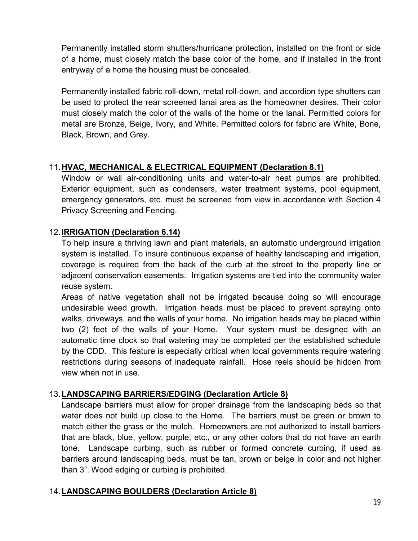Permanently installed storm shutters/hurricane protection, installed on the front or side of a home, must closely match the base color of the home, and if installed in the front entryway of a home the housing must be concealed.

Permanently installed fabric roll-down, metal roll-down, and accordion type shutters can be used to protect the rear screened lanai area as the homeowner desires. Their color must closely match the color of the walls of the home or the lanai. Permitted colors for metal are Bronze, Beige, Ivory, and White. Permitted colors for fabric are White, Bone, Black, Brown, and Grey.

# 11.**HVAC, MECHANICAL & ELECTRICAL EQUIPMENT (Declaration 8.1)**

Window or wall air-conditioning units and water-to-air heat pumps are prohibited. Exterior equipment, such as condensers, water treatment systems, pool equipment, emergency generators, etc. must be screened from view in accordance with Section 4 Privacy Screening and Fencing.

### 12.**IRRIGATION (Declaration 6.14)**

To help insure a thriving lawn and plant materials, an automatic underground irrigation system is installed. To insure continuous expanse of healthy landscaping and irrigation, coverage is required from the back of the curb at the street to the property line or adjacent conservation easements. Irrigation systems are tied into the community water reuse system.

Areas of native vegetation shall not be irrigated because doing so will encourage undesirable weed growth. Irrigation heads must be placed to prevent spraying onto walks, driveways, and the walls of your home. No irrigation heads may be placed within two (2) feet of the walls of your Home. Your system must be designed with an automatic time clock so that watering may be completed per the established schedule by the CDD. This feature is especially critical when local governments require watering restrictions during seasons of inadequate rainfall. Hose reels should be hidden from view when not in use.

### 13.**LANDSCAPING BARRIERS/EDGING (Declaration Article 8)**

Landscape barriers must allow for proper drainage from the landscaping beds so that water does not build up close to the Home. The barriers must be green or brown to match either the grass or the mulch. Homeowners are not authorized to install barriers that are black, blue, yellow, purple, etc., or any other colors that do not have an earth tone. Landscape curbing, such as rubber or formed concrete curbing, if used as barriers around landscaping beds, must be tan, brown or beige in color and not higher than 3". Wood edging or curbing is prohibited.

### 14.**LANDSCAPING BOULDERS (Declaration Article 8)**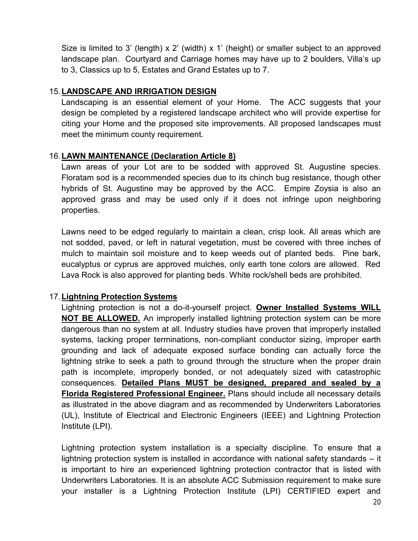Size is limited to 3' (length) x 2' (width) x 1' (height) or smaller subject to an approved landscape plan. Courtyard and Carriage homes may have up to 2 boulders, Villa's up to 3, Classics up to 5, Estates and Grand Estates up to 7.

### 15.**LANDSCAPE AND IRRIGATION DESIGN**

Landscaping is an essential element of your Home. The ACC suggests that your design be completed by a registered landscape architect who will provide expertise for citing your Home and the proposed site improvements. All proposed landscapes must meet the minimum county requirement.

#### 16.**LAWN MAINTENANCE (Declaration Article 8)**

Lawn areas of your Lot are to be sodded with approved St. Augustine species. Floratam sod is a recommended species due to its chinch bug resistance, though other hybrids of St. Augustine may be approved by the ACC. Empire Zoysia is also an approved grass and may be used only if it does not infringe upon neighboring properties.

Lawns need to be edged regularly to maintain a clean, crisp look. All areas which are not sodded, paved, or left in natural vegetation, must be covered with three inches of mulch to maintain soil moisture and to keep weeds out of planted beds. Pine bark, eucalyptus or cyprus are approved mulches, only earth tone colors are allowed. Red Lava Rock is also approved for planting beds. White rock/shell beds are prohibited.

### 17.**Lightning Protection Systems**

Lightning protection is not a do-it-yourself project. **Owner Installed Systems WILL NOT BE ALLOWED.** An improperly installed lightning protection system can be more dangerous than no system at all. Industry studies have proven that improperly installed systems, lacking proper terminations, non-compliant conductor sizing, improper earth grounding and lack of adequate exposed surface bonding can actually force the lightning strike to seek a path to ground through the structure when the proper drain path is incomplete, improperly bonded, or not adequately sized with catastrophic consequences. **Detailed Plans MUST be designed, prepared and sealed by a Florida Registered Professional Engineer.** Plans should include all necessary details as illustrated in the above diagram and as recommended by Underwriters Laboratories (UL), Institute of Electrical and Electronic Engineers (IEEE) and Lightning Protection Institute (LPI).

Lightning protection system installation is a specialty discipline. To ensure that a lightning protection system is installed in accordance with national safety standards – it is important to hire an experienced lightning protection contractor that is listed with Underwriters Laboratories. It is an absolute ACC Submission requirement to make sure your installer is a Lightning Protection Institute (LPI) CERTIFIED expert and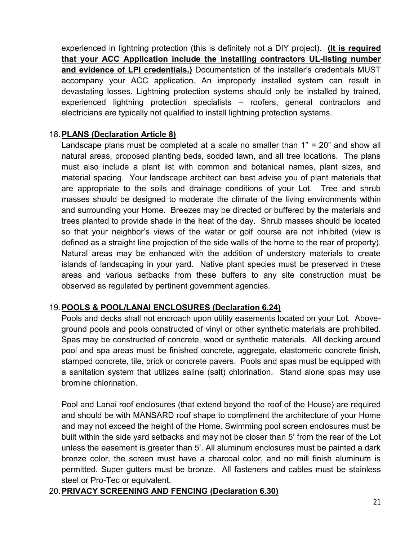experienced in lightning protection (this is definitely not a DIY project). **(It is required that your ACC Application include the installing contractors UL-listing number and evidence of LPI credentials.)** Documentation of the installer's credentials MUST accompany your ACC application. An improperly installed system can result in devastating losses. Lightning protection systems should only be installed by trained, experienced lightning protection specialists – roofers, general contractors and electricians are typically not qualified to install lightning protection systems.

### 18.**PLANS (Declaration Article 8)**

Landscape plans must be completed at a scale no smaller than 1" = 20" and show all natural areas, proposed planting beds, sodded lawn, and all tree locations. The plans must also include a plant list with common and botanical names, plant sizes, and material spacing. Your landscape architect can best advise you of plant materials that are appropriate to the soils and drainage conditions of your Lot. Tree and shrub masses should be designed to moderate the climate of the living environments within and surrounding your Home. Breezes may be directed or buffered by the materials and trees planted to provide shade in the heat of the day. Shrub masses should be located so that your neighbor's views of the water or golf course are not inhibited (view is defined as a straight line projection of the side walls of the home to the rear of property). Natural areas may be enhanced with the addition of understory materials to create islands of landscaping in your yard. Native plant species must be preserved in these areas and various setbacks from these buffers to any site construction must be observed as regulated by pertinent government agencies.

### 19.**POOLS & POOL/LANAI ENCLOSURES (Declaration 6.24)**

Pools and decks shall not encroach upon utility easements located on your Lot. Aboveground pools and pools constructed of vinyl or other synthetic materials are prohibited. Spas may be constructed of concrete, wood or synthetic materials. All decking around pool and spa areas must be finished concrete, aggregate, elastomeric concrete finish, stamped concrete, tile, brick or concrete pavers. Pools and spas must be equipped with a sanitation system that utilizes saline (salt) chlorination. Stand alone spas may use bromine chlorination.

Pool and Lanai roof enclosures (that extend beyond the roof of the House) are required and should be with MANSARD roof shape to compliment the architecture of your Home and may not exceed the height of the Home. Swimming pool screen enclosures must be built within the side yard setbacks and may not be closer than 5' from the rear of the Lot unless the easement is greater than 5'. All aluminum enclosures must be painted a dark bronze color, the screen must have a charcoal color, and no mill finish aluminum is permitted. Super gutters must be bronze. All fasteners and cables must be stainless steel or Pro-Tec or equivalent.

### 20.**PRIVACY SCREENING AND FENCING (Declaration 6.30)**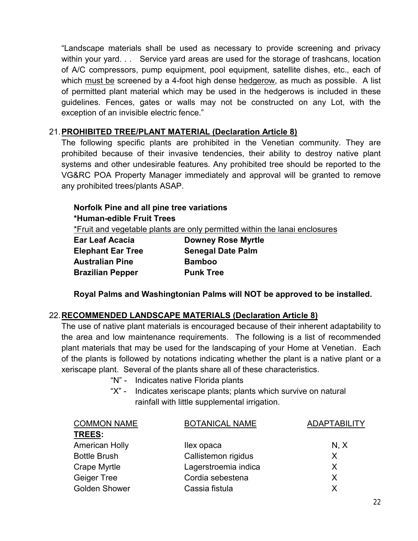"Landscape materials shall be used as necessary to provide screening and privacy within your yard. . . Service yard areas are used for the storage of trashcans, location of A/C compressors, pump equipment, pool equipment, satellite dishes, etc., each of which must be screened by a 4-foot high dense hedgerow, as much as possible. A list of permitted plant material which may be used in the hedgerows is included in these guidelines. Fences, gates or walls may not be constructed on any Lot, with the exception of an invisible electric fence."

### 21.**PROHIBITED TREE/PLANT MATERIAL (Declaration Article 8)**

The following specific plants are prohibited in the Venetian community. They are prohibited because of their invasive tendencies, their ability to destroy native plant systems and other undesirable features. Any prohibited tree should be reported to the VG&RC POA Property Manager immediately and approval will be granted to remove any prohibited trees/plants ASAP.

# **Norfolk Pine and all pine tree variations**

#### **\*Human-edible Fruit Trees**

\*Fruit and vegetable plants are only permitted within the lanai enclosures

| <b>Downey Rose Myrtle</b> |
|---------------------------|
| <b>Senegal Date Palm</b>  |
| <b>Bamboo</b>             |
| <b>Punk Tree</b>          |
|                           |

**Royal Palms and Washingtonian Palms will NOT be approved to be installed.** 

### 22.**RECOMMENDED LANDSCAPE MATERIALS (Declaration Article 8)**

The use of native plant materials is encouraged because of their inherent adaptability to the area and low maintenance requirements. The following is a list of recommended plant materials that may be used for the landscaping of your Home at Venetian. Each of the plants is followed by notations indicating whether the plant is a native plant or a xeriscape plant. Several of the plants share all of these characteristics.

- "N" Indicates native Florida plants
- "X" Indicates xeriscape plants; plants which survive on natural rainfall with little supplemental irrigation.

| <b>COMMON NAME</b>    | <b>BOTANICAL NAME</b> | <b>ADAPTABILITY</b> |
|-----------------------|-----------------------|---------------------|
| <b>TREES:</b>         |                       |                     |
| <b>American Holly</b> | llex opaca            | N, X                |
| <b>Bottle Brush</b>   | Callistemon rigidus   | X                   |
| <b>Crape Myrtle</b>   | Lagerstroemia indica  | X                   |
| <b>Geiger Tree</b>    | Cordia sebestena      | X                   |
| <b>Golden Shower</b>  | Cassia fistula        |                     |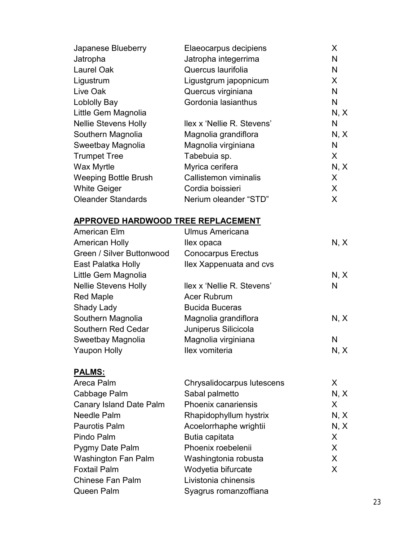| Japanese Blueberry                 | Elaeocarpus decipiens      | X       |
|------------------------------------|----------------------------|---------|
| Jatropha                           | Jatropha integerrima       | N       |
| <b>Laurel Oak</b>                  | Quercus laurifolia         | N       |
| Ligustrum                          | Ligustgrum japopnicum      | X.      |
| Live Oak                           | Quercus virginiana         | N       |
| Loblolly Bay                       | Gordonia lasianthus        | N       |
| Little Gem Magnolia                |                            | N, X    |
| <b>Nellie Stevens Holly</b>        | llex x 'Nellie R. Stevens' | N       |
| Southern Magnolia                  | Magnolia grandiflora       | N, X    |
| Sweetbay Magnolia                  | Magnolia virginiana        | N       |
| <b>Trumpet Tree</b>                | Tabebuia sp.               | X.      |
| <b>Wax Myrtle</b>                  | Myrica cerifera            | N, X    |
| Weeping Bottle Brush               | Callistemon viminalis      | X       |
| <b>White Geiger</b>                | Cordia boissieri           | $\sf X$ |
| <b>Oleander Standards</b>          | Nerium oleander "STD"      | $\sf X$ |
| APPROVED HARDWOOD TREE REPLACEMENT |                            |         |
| American Elm                       | <b>Ulmus Americana</b>     |         |
| <b>American Holly</b>              | llex opaca                 | N, X    |
| Green / Silver Buttonwood          | <b>Conocarpus Erectus</b>  |         |
| East Palatka Holly                 | Ilex Xappenuata and cvs    |         |
| Little Gem Magnolia                |                            | N, X    |
| <b>Nellie Stevens Holly</b>        | llex x 'Nellie R. Stevens' | N       |
| <b>Red Maple</b>                   | Acer Rubrum                |         |
| <b>Shady Lady</b>                  | <b>Bucida Buceras</b>      |         |
| Southern Magnolia                  | Magnolia grandiflora       | N, X    |
| Southern Red Cedar                 | Juniperus Silicicola       |         |
| Sweetbay Magnolia                  | Magnolia virginiana        | N       |
| <b>Yaupon Holly</b>                | Ilex vomiteria             | N, X    |
| <u>PALMS:</u>                      |                            |         |
| Areca Palm                         | Chrysalidocarpus lutescens | X       |
| Cabbage Palm                       | Sabal palmetto             | N, X    |
| <b>Canary Island Date Palm</b>     | Phoenix canariensis        | X       |
| <b>Needle Palm</b>                 | Rhapidophyllum hystrix     | N, X    |
| <b>Paurotis Palm</b>               | Acoelorrhaphe wrightii     | N, X    |
| Pindo Palm                         | Butia capitata             | X.      |
| Pygmy Date Palm                    | Phoenix roebelenii         | X.      |
| Washington Fan Palm                | Washingtonia robusta       | X.      |
| <b>Foxtail Palm</b>                | Wodyetia bifurcate         | X.      |
| <b>Chinese Fan Palm</b>            | Livistonia chinensis       |         |
| <b>Queen Palm</b>                  | Syagrus romanzoffiana      |         |
|                                    |                            |         |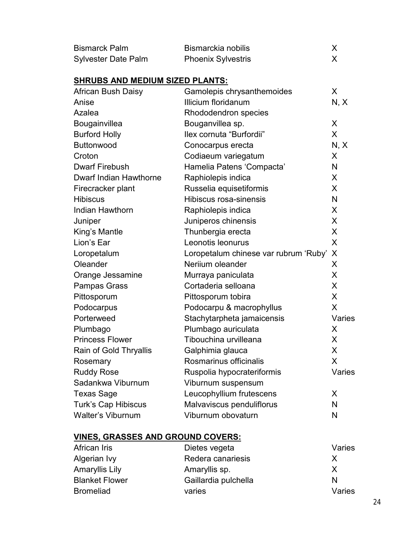| <b>Bismarck Palm</b>                                         | Bismarckia nobilis                    | X      |
|--------------------------------------------------------------|---------------------------------------|--------|
| <b>Sylvester Date Palm</b>                                   | <b>Phoenix Sylvestris</b>             | X      |
|                                                              |                                       |        |
| <b>SHRUBS AND MEDIUM SIZED PLANTS:</b><br>African Bush Daisy | Gamolepis chrysanthemoides            | X      |
| Anise                                                        | Illicium floridanum                   | N, X   |
| Azalea                                                       | Rhododendron species                  |        |
| Bougainvillea                                                | Bouganvillea sp.                      | X      |
| <b>Burford Holly</b>                                         | llex cornuta "Burfordii"              | X      |
| <b>Buttonwood</b>                                            | Conocarpus erecta                     | N, X   |
| Croton                                                       | Codiaeum variegatum                   | X      |
| <b>Dwarf Firebush</b>                                        | Hamelia Patens 'Compacta'             | N      |
| <b>Dwarf Indian Hawthorne</b>                                | Raphiolepis indica                    | X      |
| Firecracker plant                                            | Russelia equisetiformis               | X      |
| <b>Hibiscus</b>                                              | Hibiscus rosa-sinensis                | N      |
| Indian Hawthorn                                              | Raphiolepis indica                    | X      |
| Juniper                                                      | Juniperos chinensis                   | X      |
| King's Mantle                                                | Thunbergia erecta                     | X      |
| Lion's Ear                                                   | Leonotis leonurus                     | X      |
| Loropetalum                                                  | Loropetalum chinese var rubrum 'Ruby' | X      |
| Oleander                                                     | Neriium oleander                      | X      |
| Orange Jessamine                                             | Murraya paniculata                    | X      |
| <b>Pampas Grass</b>                                          | Cortaderia selloana                   | X      |
| Pittosporum                                                  | Pittosporum tobira                    | X      |
| Podocarpus                                                   | Podocarpu & macrophyllus              | X      |
| Porterweed                                                   | Stachytarpheta jamaicensis            | Varies |
| Plumbago                                                     | Plumbago auriculata                   | X      |
| <b>Princess Flower</b>                                       | Tibouchina urvilleana                 | X      |
| Rain of Gold Thryallis                                       | Galphimia glauca                      | X      |
| Rosemary                                                     | Rosmarinus officinalis                | X      |
| <b>Ruddy Rose</b>                                            | Ruspolia hypocrateriformis            | Varies |
| Sadankwa Viburnum                                            | Viburnum suspensum                    |        |
| <b>Texas Sage</b>                                            | Leucophyllium frutescens              | X      |
| <b>Turk's Cap Hibiscus</b>                                   | Malvaviscus penduliflorus             | N      |
| <b>Walter's Viburnum</b>                                     | Viburnum obovaturn                    | N      |

# **VINES, GRASSES AND GROUND COVERS:**

| African Iris          | Dietes vegeta        | Varies       |
|-----------------------|----------------------|--------------|
| Algerian Ivy          | Redera canariesis    | $\mathsf{X}$ |
| Amaryllis Lily        | Amaryllis sp.        | X            |
| <b>Blanket Flower</b> | Gaillardia pulchella | N            |
| <b>Bromeliad</b>      | varies               | Varies       |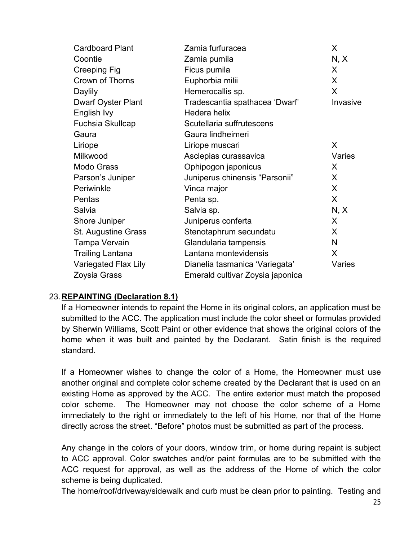| <b>Cardboard Plant</b>    | Zamia furfuracea                 | X        |
|---------------------------|----------------------------------|----------|
| Coontie                   | Zamia pumila                     | N, X     |
| <b>Creeping Fig</b>       | Ficus pumila                     | X        |
| <b>Crown of Thorns</b>    | Euphorbia milii                  | X        |
| Daylily                   | Hemerocallis sp.                 | X        |
| <b>Dwarf Oyster Plant</b> | Tradescantia spathacea 'Dwarf'   | Invasive |
| English Ivy               | Hedera helix                     |          |
| Fuchsia Skullcap          | Scutellaria suffrutescens        |          |
| Gaura                     | Gaura lindheimeri                |          |
| Liriope                   | Liriope muscari                  | X        |
| Milkwood                  | Asclepias curassavica            | Varies   |
| <b>Modo Grass</b>         | Ophipogon japonicus              | X.       |
| Parson's Juniper          | Juniperus chinensis "Parsonii"   | X        |
| Periwinkle                | Vinca major                      | X        |
| Pentas                    | Penta sp.                        | X        |
| Salvia                    | Salvia sp.                       | N, X     |
| Shore Juniper             | Juniperus conferta               | X        |
| St. Augustine Grass       | Stenotaphrum secundatu           | $\sf X$  |
| Tampa Vervain             | Glandularia tampensis            | N        |
| <b>Trailing Lantana</b>   | Lantana montevidensis            | X        |
| Variegated Flax Lily      | Dianelia tasmanica 'Variegata'   | Varies   |
| Zoysia Grass              | Emerald cultivar Zoysia japonica |          |

### 23.**REPAINTING (Declaration 8.1)**

If a Homeowner intends to repaint the Home in its original colors, an application must be submitted to the ACC. The application must include the color sheet or formulas provided by Sherwin Williams, Scott Paint or other evidence that shows the original colors of the home when it was built and painted by the Declarant. Satin finish is the required standard.

If a Homeowner wishes to change the color of a Home, the Homeowner must use another original and complete color scheme created by the Declarant that is used on an existing Home as approved by the ACC. The entire exterior must match the proposed color scheme. The Homeowner may not choose the color scheme of a Home immediately to the right or immediately to the left of his Home, nor that of the Home directly across the street. "Before" photos must be submitted as part of the process.

Any change in the colors of your doors, window trim, or home during repaint is subject to ACC approval. Color swatches and/or paint formulas are to be submitted with the ACC request for approval, as well as the address of the Home of which the color scheme is being duplicated.

The home/roof/driveway/sidewalk and curb must be clean prior to painting. Testing and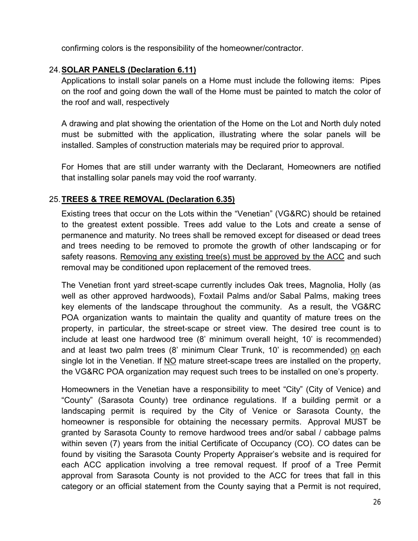confirming colors is the responsibility of the homeowner/contractor.

### 24.**SOLAR PANELS (Declaration 6.11)**

Applications to install solar panels on a Home must include the following items: Pipes on the roof and going down the wall of the Home must be painted to match the color of the roof and wall, respectively

A drawing and plat showing the orientation of the Home on the Lot and North duly noted must be submitted with the application, illustrating where the solar panels will be installed. Samples of construction materials may be required prior to approval.

For Homes that are still under warranty with the Declarant, Homeowners are notified that installing solar panels may void the roof warranty.

### 25.**TREES & TREE REMOVAL (Declaration 6.35)**

Existing trees that occur on the Lots within the "Venetian" (VG&RC) should be retained to the greatest extent possible. Trees add value to the Lots and create a sense of permanence and maturity. No trees shall be removed except for diseased or dead trees and trees needing to be removed to promote the growth of other landscaping or for safety reasons. Removing any existing tree(s) must be approved by the ACC and such removal may be conditioned upon replacement of the removed trees.

The Venetian front yard street-scape currently includes Oak trees, Magnolia, Holly (as well as other approved hardwoods), Foxtail Palms and/or Sabal Palms, making trees key elements of the landscape throughout the community. As a result, the VG&RC POA organization wants to maintain the quality and quantity of mature trees on the property, in particular, the street-scape or street view. The desired tree count is to include at least one hardwood tree (8' minimum overall height, 10' is recommended) and at least two palm trees (8' minimum Clear Trunk, 10' is recommended) on each single lot in the Venetian. If NO mature street-scape trees are installed on the property, the VG&RC POA organization may request such trees to be installed on one's property.

Homeowners in the Venetian have a responsibility to meet "City" (City of Venice) and "County" (Sarasota County) tree ordinance regulations. If a building permit or a landscaping permit is required by the City of Venice or Sarasota County, the homeowner is responsible for obtaining the necessary permits. Approval MUST be granted by Sarasota County to remove hardwood trees and/or sabal / cabbage palms within seven (7) years from the initial Certificate of Occupancy (CO). CO dates can be found by visiting the Sarasota County Property Appraiser's website and is required for each ACC application involving a tree removal request. If proof of a Tree Permit approval from Sarasota County is not provided to the ACC for trees that fall in this category or an official statement from the County saying that a Permit is not required,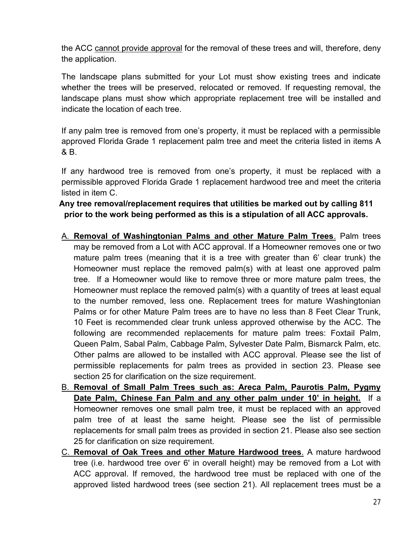the ACC cannot provide approval for the removal of these trees and will, therefore, deny the application.

The landscape plans submitted for your Lot must show existing trees and indicate whether the trees will be preserved, relocated or removed. If requesting removal, the landscape plans must show which appropriate replacement tree will be installed and indicate the location of each tree.

If any palm tree is removed from one's property, it must be replaced with a permissible approved Florida Grade 1 replacement palm tree and meet the criteria listed in items A & B.

If any hardwood tree is removed from one's property, it must be replaced with a permissible approved Florida Grade 1 replacement hardwood tree and meet the criteria listed in item C.

### **Any tree removal/replacement requires that utilities be marked out by calling 811 prior to the work being performed as this is a stipulation of all ACC approvals.**

- A. **Removal of Washingtonian Palms and other Mature Palm Trees**. Palm trees may be removed from a Lot with ACC approval. If a Homeowner removes one or two mature palm trees (meaning that it is a tree with greater than 6' clear trunk) the Homeowner must replace the removed palm(s) with at least one approved palm tree. If a Homeowner would like to remove three or more mature palm trees, the Homeowner must replace the removed palm(s) with a quantity of trees at least equal to the number removed, less one. Replacement trees for mature Washingtonian Palms or for other Mature Palm trees are to have no less than 8 Feet Clear Trunk, 10 Feet is recommended clear trunk unless approved otherwise by the ACC. The following are recommended replacements for mature palm trees: Foxtail Palm, Queen Palm, Sabal Palm, Cabbage Palm, Sylvester Date Palm, Bismarck Palm, etc. Other palms are allowed to be installed with ACC approval. Please see the list of permissible replacements for palm trees as provided in section 23. Please see section 25 for clarification on the size requirement.
- B. **Removal of Small Palm Trees such as: Areca Palm, Paurotis Palm, Pygmy Date Palm, Chinese Fan Palm and any other palm under 10' in height.** If a Homeowner removes one small palm tree, it must be replaced with an approved palm tree of at least the same height. Please see the list of permissible replacements for small palm trees as provided in section 21. Please also see section 25 for clarification on size requirement.
- C. **Removal of Oak Trees and other Mature Hardwood trees**. A mature hardwood tree (i.e. hardwood tree over 6' in overall height) may be removed from a Lot with ACC approval. If removed, the hardwood tree must be replaced with one of the approved listed hardwood trees (see section 21). All replacement trees must be a